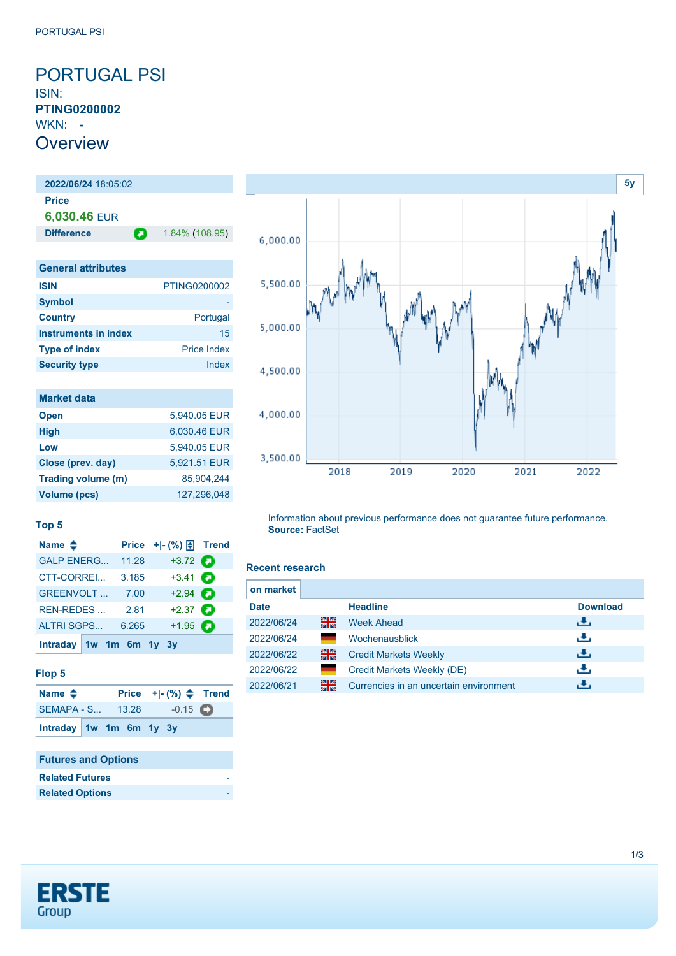<span id="page-0-0"></span>PORTUGAL PSI ISIN: **PTING0200002** WKN: **- Overview** 

**2022/06/24** 18:05:02 **Price 6,030.46** EUR **Difference 1.84% (108.95)** 

| <b>General attributes</b> |                    |
|---------------------------|--------------------|
| <b>ISIN</b>               | PTING0200002       |
| <b>Symbol</b>             |                    |
| <b>Country</b>            | Portugal           |
| Instruments in index      | 15                 |
| <b>Type of index</b>      | <b>Price Index</b> |
| <b>Security type</b>      | Index              |

| <b>Market data</b>  |              |
|---------------------|--------------|
| <b>Open</b>         | 5,940.05 EUR |
| <b>High</b>         | 6,030.46 EUR |
| Low                 | 5,940.05 EUR |
| Close (prev. day)   | 5,921.51 EUR |
| Trading volume (m)  | 85,904,244   |
| <b>Volume (pcs)</b> | 127,296,048  |

**Name**  $\triangleq$  **Price** +|- (%)  $\triangleq$  **Trend** [GALP ENERG...](https://de.products.erstegroup.com/CorporateClients/en/Dispatcher/FactsheetDispatcher/index.phtml?ID_NOTATION=15978327) 11.28 +3.72 [CTT-CORREI...](https://de.products.erstegroup.com/CorporateClients/en/Dispatcher/FactsheetDispatcher/index.phtml?ID_NOTATION=93136691) 3.185 +3.41 [GREENVOLT ...](https://de.products.erstegroup.com/CorporateClients/en/Dispatcher/FactsheetDispatcher/index.phtml?ID_NOTATION=344711846) 7.00 +2.94 [REN-REDES ...](https://de.products.erstegroup.com/CorporateClients/en/Dispatcher/FactsheetDispatcher/index.phtml?ID_NOTATION=18427040) 2.81 +2.37 [ALTRI SGPS...](https://de.products.erstegroup.com/CorporateClients/en/Dispatcher/FactsheetDispatcher/index.phtml?ID_NOTATION=11394755) 6.265 +1.95



Information about previous performance does not guarantee future performance. **Source:** FactSet

## **Recent research**

| on market   |    |                                        |                 |
|-------------|----|----------------------------------------|-----------------|
| <b>Date</b> |    | <b>Headline</b>                        | <b>Download</b> |
| 2022/06/24  | 을중 | <b>Week Ahead</b>                      | đ۴,             |
| 2022/06/24  |    | Wochenausblick                         | æ,              |
| 2022/06/22  | 을중 | <b>Credit Markets Weekly</b>           | æ,              |
| 2022/06/22  |    | Credit Markets Weekly (DE)             | æ,              |
| 2022/06/21  | 읡  | Currencies in an uncertain environment | ٠₩.             |

| <b>Futures and Options</b> |  |
|----------------------------|--|
|                            |  |
|                            |  |

**[Intraday](https://de.products.erstegroup.com/CorporateClients/en/MarketsAndTrends/IndicesAndEquities/Factsheets/Index/print.phtml?&elem906840_durationTimes=gen_intraday&ID_NOTATION=324727) [1w](https://de.products.erstegroup.com/CorporateClients/en/MarketsAndTrends/IndicesAndEquities/Factsheets/Index/print.phtml?&elem906840_durationTimes=gen_1w&ID_NOTATION=324727) [1m](https://de.products.erstegroup.com/CorporateClients/en/MarketsAndTrends/IndicesAndEquities/Factsheets/Index/print.phtml?&elem906840_durationTimes=gen_1m&ID_NOTATION=324727) [6m](https://de.products.erstegroup.com/CorporateClients/en/MarketsAndTrends/IndicesAndEquities/Factsheets/Index/print.phtml?&elem906840_durationTimes=gen_6m&ID_NOTATION=324727) [1y](https://de.products.erstegroup.com/CorporateClients/en/MarketsAndTrends/IndicesAndEquities/Factsheets/Index/print.phtml?&elem906840_durationTimes=gen_1y&ID_NOTATION=324727) [3y](https://de.products.erstegroup.com/CorporateClients/en/MarketsAndTrends/IndicesAndEquities/Factsheets/Index/print.phtml?&elem906840_durationTimes=gen_3y&ID_NOTATION=324727)**

**Top 5**

**Flop 5**

**[Intraday](https://de.products.erstegroup.com/CorporateClients/en/MarketsAndTrends/IndicesAndEquities/Factsheets/Index/print.phtml?&elem906849_durationTimes=gen_intraday&ID_NOTATION=324727) [1w](https://de.products.erstegroup.com/CorporateClients/en/MarketsAndTrends/IndicesAndEquities/Factsheets/Index/print.phtml?&elem906849_durationTimes=gen_1w&ID_NOTATION=324727) [1m](https://de.products.erstegroup.com/CorporateClients/en/MarketsAndTrends/IndicesAndEquities/Factsheets/Index/print.phtml?&elem906849_durationTimes=gen_1m&ID_NOTATION=324727) [6m](https://de.products.erstegroup.com/CorporateClients/en/MarketsAndTrends/IndicesAndEquities/Factsheets/Index/print.phtml?&elem906849_durationTimes=gen_6m&ID_NOTATION=324727) [1y](https://de.products.erstegroup.com/CorporateClients/en/MarketsAndTrends/IndicesAndEquities/Factsheets/Index/print.phtml?&elem906849_durationTimes=gen_1y&ID_NOTATION=324727) [3y](https://de.products.erstegroup.com/CorporateClients/en/MarketsAndTrends/IndicesAndEquities/Factsheets/Index/print.phtml?&elem906849_durationTimes=gen_3y&ID_NOTATION=324727)**

| <b>Related Futures</b> |  |
|------------------------|--|
| <b>Related Options</b> |  |
|                        |  |

**Name Price +|- (%) Trend** [SEMAPA - S...](https://de.products.erstegroup.com/CorporateClients/en/Dispatcher/FactsheetDispatcher/index.phtml?ID_NOTATION=65672) 13.28 -0.15

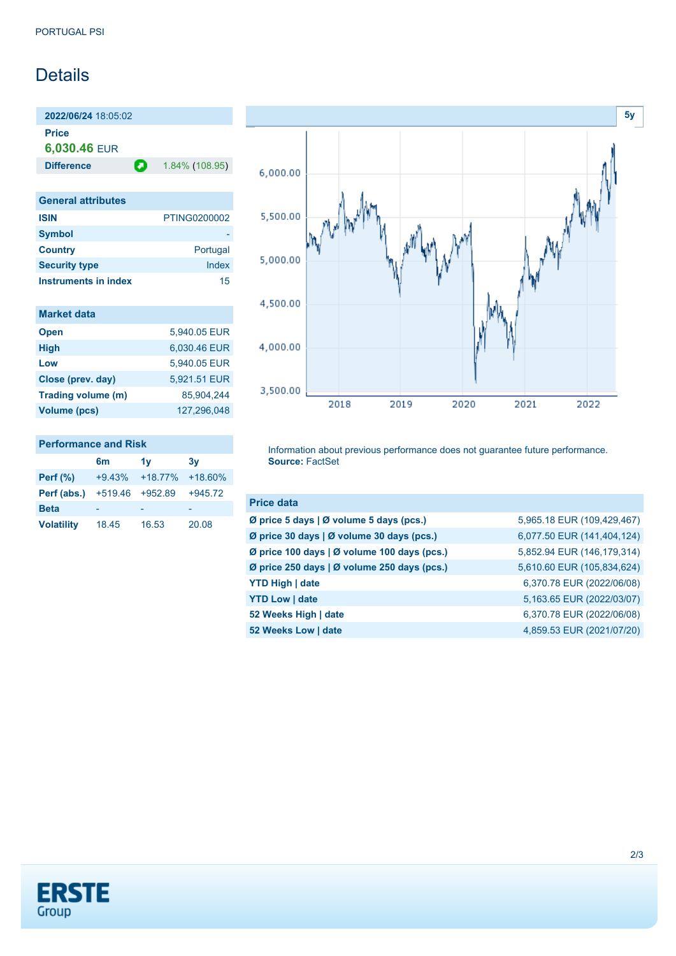## **Details**

**2022/06/24** 18:05:02 **Price**

**6,030.46** EUR

**Difference 1.84% (108.95)** 

| <b>General attributes</b> |              |
|---------------------------|--------------|
| <b>ISIN</b>               | PTING0200002 |
| <b>Symbol</b>             |              |
| <b>Country</b>            | Portugal     |
| <b>Security type</b>      | Index        |
| Instruments in index      | 15           |

| <b>Market data</b>  |              |
|---------------------|--------------|
| <b>Open</b>         | 5.940.05 EUR |
| <b>High</b>         | 6.030.46 EUR |
| Low                 | 5,940.05 EUR |
| Close (prev. day)   | 5,921.51 EUR |
| Trading volume (m)  | 85.904.244   |
| <b>Volume (pcs)</b> | 127.296.048  |



## **Performance and Risk**

|                   | 6m        | 1v        | 3v        |
|-------------------|-----------|-----------|-----------|
| <b>Perf</b> (%)   | $+9.43%$  | $+18.77%$ | $+18.60%$ |
| Perf (abs.)       | $+519.46$ | $+952.89$ | $+945.72$ |
| <b>Beta</b>       |           |           |           |
| <b>Volatility</b> | 18.45     | 16.53     | 20.08     |

Information about previous performance does not guarantee future performance. **Source:** FactSet

| <b>Price data</b>                           |                            |
|---------------------------------------------|----------------------------|
| Ø price 5 days   Ø volume 5 days (pcs.)     | 5,965.18 EUR (109,429,467) |
| Ø price 30 days   Ø volume 30 days (pcs.)   | 6,077.50 EUR (141,404,124) |
| Ø price 100 days   Ø volume 100 days (pcs.) | 5,852.94 EUR (146,179,314) |
| Ø price 250 days   Ø volume 250 days (pcs.) | 5,610.60 EUR (105,834,624) |
| <b>YTD High   date</b>                      | 6,370.78 EUR (2022/06/08)  |
| <b>YTD Low   date</b>                       | 5,163.65 EUR (2022/03/07)  |
| 52 Weeks High   date                        | 6,370.78 EUR (2022/06/08)  |
| 52 Weeks Low   date                         | 4,859.53 EUR (2021/07/20)  |